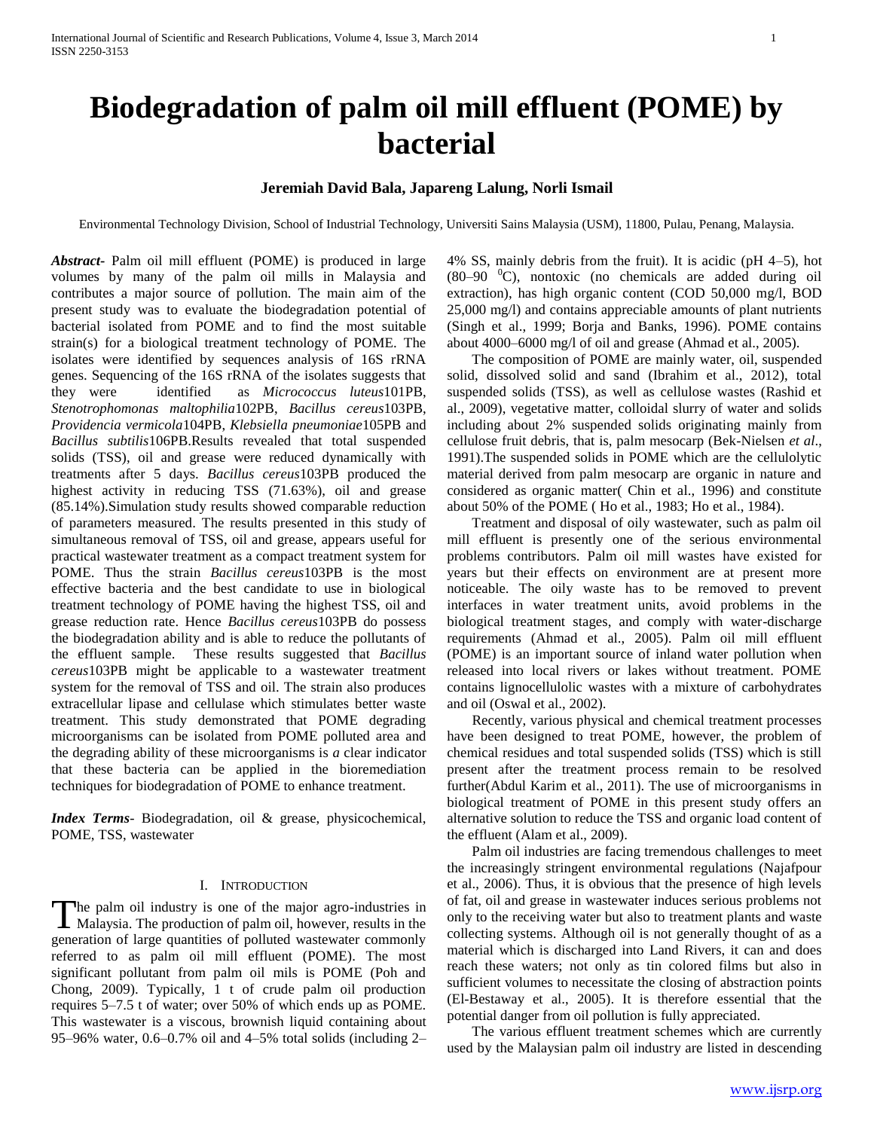# **Biodegradation of palm oil mill effluent (POME) by bacterial**

# **Jeremiah David Bala, Japareng Lalung, Norli Ismail**

Environmental Technology Division, School of Industrial Technology, Universiti Sains Malaysia (USM), 11800, Pulau, Penang, Malaysia.

*Abstract***-** Palm oil mill effluent (POME) is produced in large volumes by many of the palm oil mills in Malaysia and contributes a major source of pollution. The main aim of the present study was to evaluate the biodegradation potential of bacterial isolated from POME and to find the most suitable strain(s) for a biological treatment technology of POME. The isolates were identified by sequences analysis of 16S rRNA genes. Sequencing of the 16S rRNA of the isolates suggests that they were identified as *Micrococcus luteus*101PB, *Stenotrophomonas maltophilia*102PB, *Bacillus cereus*103PB, *Providencia vermicola*104PB, *Klebsiella pneumoniae*105PB and *Bacillus subtilis*106PB.Results revealed that total suspended solids (TSS), oil and grease were reduced dynamically with treatments after 5 days. *Bacillus cereus*103PB produced the highest activity in reducing TSS (71.63%), oil and grease (85.14%).Simulation study results showed comparable reduction of parameters measured. The results presented in this study of simultaneous removal of TSS, oil and grease, appears useful for practical wastewater treatment as a compact treatment system for POME. Thus the strain *[Bacillus cereus](http://blast.ncbi.nlm.nih.gov/Blast.cgi#alnHdr_326579762)*103PB is the most effective bacteria and the best candidate to use in biological treatment technology of POME having the highest TSS, oil and grease reduction rate. Hence *[Bacillus cereus](http://blast.ncbi.nlm.nih.gov/Blast.cgi#alnHdr_326579762)*103PB do possess the biodegradation ability and is able to reduce the pollutants of the effluent sample. These results suggested that *[Bacillus](http://blast.ncbi.nlm.nih.gov/Blast.cgi#alnHdr_326579762)  [cereus](http://blast.ncbi.nlm.nih.gov/Blast.cgi#alnHdr_326579762)*103PB might be applicable to a wastewater treatment system for the removal of TSS and oil. The strain also produces extracellular lipase and cellulase which stimulates better waste treatment. This study demonstrated that POME degrading microorganisms can be isolated from POME polluted area and the degrading ability of these microorganisms is *a* clear indicator that these bacteria can be applied in the bioremediation techniques for biodegradation of POME to enhance treatment.

*Index Terms*- Biodegradation, oil & grease, physicochemical, POME, TSS, wastewater

## I. INTRODUCTION

he palm oil industry is one of the major agro-industries in The palm oil industry is one of the major agro-industries in Malaysia. The production of palm oil, however, results in the generation of large quantities of polluted wastewater commonly referred to as palm oil mill effluent (POME). The most significant pollutant from palm oil mils is POME (Poh and Chong, 2009). Typically, 1 t of crude palm oil production requires 5–7.5 t of water; over 50% of which ends up as POME. This wastewater is a viscous, brownish liquid containing about 95–96% water, 0.6–0.7% oil and 4–5% total solids (including 2–

4% SS, mainly debris from the fruit). It is acidic (pH 4–5), hot  $(80-90 \degree C)$ , nontoxic (no chemicals are added during oil extraction), has high organic content (COD 50,000 mg/l, BOD 25,000 mg/l) and contains appreciable amounts of plant nutrients (Singh et al., 1999; Borja and Banks, 1996). POME contains about 4000–6000 mg/l of oil and grease (Ahmad et al., 2005).

 The composition of POME are mainly water, oil, suspended solid, dissolved solid and sand (Ibrahim et al., 2012), total suspended solids (TSS), as well as cellulose wastes (Rashid et al., 2009), vegetative matter, colloidal slurry of water and solids including about 2% suspended solids originating mainly from cellulose fruit debris, that is, palm mesocarp (Bek-Nielsen *et al*., 1991).The suspended solids in POME which are the cellulolytic material derived from palm mesocarp are organic in nature and considered as organic matter( Chin et al., 1996) and constitute about 50% of the POME ( Ho et al., 1983; Ho et al., 1984).

 Treatment and disposal of oily wastewater, such as palm oil mill effluent is presently one of the serious environmental problems contributors. Palm oil mill wastes have existed for years but their effects on environment are at present more noticeable. The oily waste has to be removed to prevent interfaces in water treatment units, avoid problems in the biological treatment stages, and comply with water-discharge requirements (Ahmad et al., 2005). Palm oil mill effluent (POME) is an important source of inland water pollution when released into local rivers or lakes without treatment. POME contains lignocellulolic wastes with a mixture of carbohydrates and oil (Oswal et al., 2002).

 Recently, various physical and chemical treatment processes have been designed to treat POME, however, the problem of chemical residues and total suspended solids (TSS) which is still present after the treatment process remain to be resolved further(Abdul Karim et al., 2011). The use of microorganisms in biological treatment of POME in this present study offers an alternative solution to reduce the TSS and organic load content of the effluent (Alam et al., 2009).

 Palm oil industries are facing tremendous challenges to meet the increasingly stringent environmental regulations (Najafpour et al., 2006). Thus, it is obvious that the presence of high levels of fat, oil and grease in wastewater induces serious problems not only to the receiving water but also to treatment plants and waste collecting systems. Although oil is not generally thought of as a material which is discharged into Land Rivers, it can and does reach these waters; not only as tin colored films but also in sufficient volumes to necessitate the closing of abstraction points (El-Bestaway et al., 2005). It is therefore essential that the potential danger from oil pollution is fully appreciated.

 The various effluent treatment schemes which are currently used by the Malaysian palm oil industry are listed in descending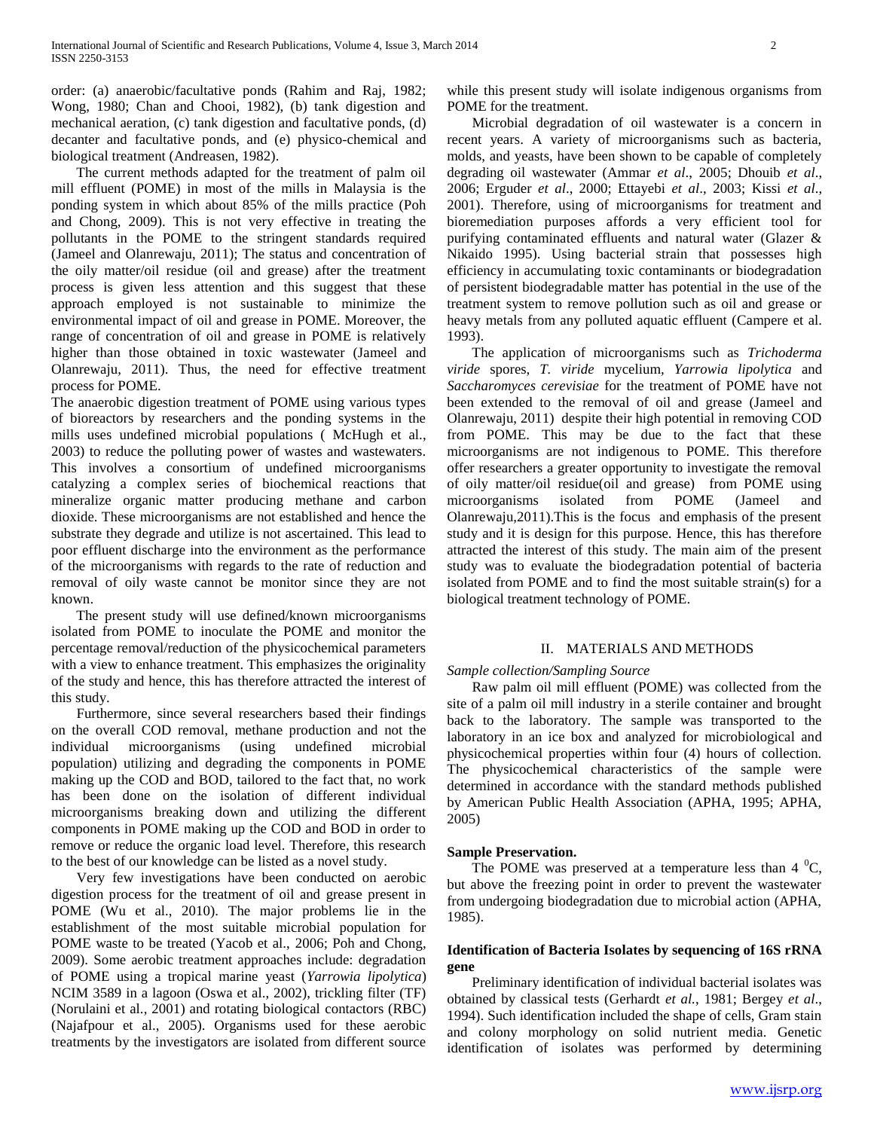order: (a) anaerobic/facultative ponds (Rahim and Raj, 1982; Wong, 1980; Chan and Chooi, 1982), (b) tank digestion and mechanical aeration, (c) tank digestion and facultative ponds, (d) decanter and facultative ponds, and (e) physico-chemical and biological treatment (Andreasen, 1982).

 The current methods adapted for the treatment of palm oil mill effluent (POME) in most of the mills in Malaysia is the ponding system in which about 85% of the mills practice (Poh and Chong, 2009). This is not very effective in treating the pollutants in the POME to the stringent standards required (Jameel and Olanrewaju, 2011); The status and concentration of the oily matter/oil residue (oil and grease) after the treatment process is given less attention and this suggest that these approach employed is not sustainable to minimize the environmental impact of oil and grease in POME. Moreover, the range of concentration of oil and grease in POME is relatively higher than those obtained in toxic wastewater (Jameel and Olanrewaju, 2011). Thus, the need for effective treatment process for POME.

The anaerobic digestion treatment of POME using various types of bioreactors by researchers and the ponding systems in the mills uses undefined microbial populations ( McHugh et al., 2003) to reduce the polluting power of wastes and wastewaters. This involves a consortium of undefined microorganisms catalyzing a complex series of biochemical reactions that mineralize organic matter producing methane and carbon dioxide. These microorganisms are not established and hence the substrate they degrade and utilize is not ascertained. This lead to poor effluent discharge into the environment as the performance of the microorganisms with regards to the rate of reduction and removal of oily waste cannot be monitor since they are not known.

 The present study will use defined/known microorganisms isolated from POME to inoculate the POME and monitor the percentage removal/reduction of the physicochemical parameters with a view to enhance treatment. This emphasizes the originality of the study and hence, this has therefore attracted the interest of this study.

 Furthermore, since several researchers based their findings on the overall COD removal, methane production and not the individual microorganisms (using undefined microbial population) utilizing and degrading the components in POME making up the COD and BOD, tailored to the fact that, no work has been done on the isolation of different individual microorganisms breaking down and utilizing the different components in POME making up the COD and BOD in order to remove or reduce the organic load level. Therefore, this research to the best of our knowledge can be listed as a novel study.

 Very few investigations have been conducted on aerobic digestion process for the treatment of oil and grease present in POME (Wu et al., 2010). The major problems lie in the establishment of the most suitable microbial population for POME waste to be treated (Yacob et al., 2006; Poh and Chong, 2009). Some aerobic treatment approaches include: degradation of POME using a tropical marine yeast (*Yarrowia lipolytica*) NCIM 3589 in a lagoon (Oswa et al., 2002), trickling filter (TF) (Norulaini et al., 2001) and rotating biological contactors (RBC) (Najafpour et al., 2005). Organisms used for these aerobic treatments by the investigators are isolated from different source

while this present study will isolate indigenous organisms from POME for the treatment.

 Microbial degradation of oil wastewater is a concern in recent years. A variety of microorganisms such as bacteria, molds, and yeasts, have been shown to be capable of completely degrading oil wastewater (Ammar *et al*., 2005; Dhouib *et al*., 2006; Erguder *et al*., 2000; Ettayebi *et al*., 2003; Kissi *et al*., 2001). Therefore, using of microorganisms for treatment and bioremediation purposes affords a very efficient tool for purifying contaminated effluents and natural water (Glazer & Nikaido 1995). Using bacterial strain that possesses high efficiency in accumulating toxic contaminants or biodegradation of persistent biodegradable matter has potential in the use of the treatment system to remove pollution such as oil and grease or heavy metals from any polluted aquatic effluent (Campere et al. 1993).

 The application of microorganisms such as *Trichoderma viride* spores, *T. viride* mycelium*, Yarrowia lipolytica* and *Saccharomyces cerevisiae* for the treatment of POME have not been extended to the removal of oil and grease (Jameel and Olanrewaju, 2011) despite their high potential in removing COD from POME. This may be due to the fact that these microorganisms are not indigenous to POME. This therefore offer researchers a greater opportunity to investigate the removal of oily matter/oil residue(oil and grease) from POME using microorganisms isolated from POME (Jameel and Olanrewaju,2011).This is the focus and emphasis of the present study and it is design for this purpose. Hence, this has therefore attracted the interest of this study. The main aim of the present study was to evaluate the biodegradation potential of bacteria isolated from POME and to find the most suitable strain(s) for a biological treatment technology of POME.

## II. MATERIALS AND METHODS

## *Sample collection/Sampling Source*

 Raw palm oil mill effluent (POME) was collected from the site of a palm oil mill industry in a sterile container and brought back to the laboratory. The sample was transported to the laboratory in an ice box and analyzed for microbiological and physicochemical properties within four (4) hours of collection. The physicochemical characteristics of the sample were determined in accordance with the standard methods published by American Public Health Association (APHA, 1995; APHA, 2005)

## **Sample Preservation.**

The POME was preserved at a temperature less than  $4 \text{ }^0C$ , but above the freezing point in order to prevent the wastewater from undergoing biodegradation due to microbial action (APHA, 1985).

# **Identification of Bacteria Isolates by sequencing of 16S rRNA gene**

 Preliminary identification of individual bacterial isolates was obtained by classical tests (Gerhardt *et al.*, 1981; Bergey *et al*., 1994). Such identification included the shape of cells, Gram stain and colony morphology on solid nutrient media. Genetic identification of isolates was performed by determining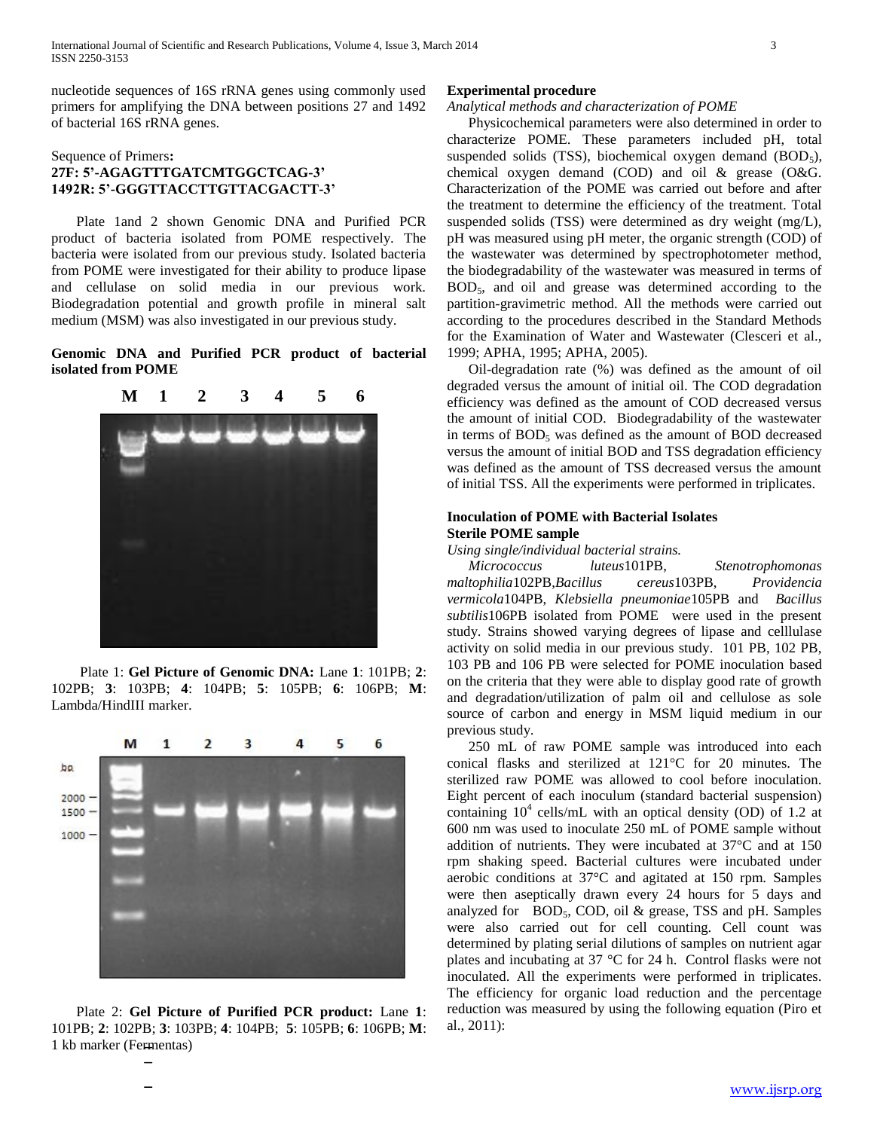nucleotide sequences of 16S rRNA genes using commonly used primers for amplifying the DNA between positions 27 and 1492 of bacterial 16S rRNA genes.

## Sequence of Primers**: 27F: 5'-AGAGTTTGATCMTGGCTCAG-3' 1492R: 5'-GGGTTACCTTGTTACGACTT-3'**

 Plate 1and 2 shown Genomic DNA and Purified PCR product of bacteria isolated from POME respectively. The bacteria were isolated from our previous study. Isolated bacteria from POME were investigated for their ability to produce lipase and cellulase on solid media in our previous work. Biodegradation potential and growth profile in mineral salt medium (MSM) was also investigated in our previous study.

**Genomic DNA and Purified PCR product of bacterial isolated from POME**



Plate 1: **Gel Picture of Genomic DNA:** Lane **1**: 101PB; **2**: 102PB; **3**: 103PB; **4**: 104PB; **5**: 105PB; **6**: 106PB; **M**: Lambda/HindIII marker.



 Plate 2: **Gel Picture of Purified PCR product:** Lane **1**: 101PB; **2**: 102PB; **3**: 103PB; **4**: 104PB; **5**: 105PB; **6**: 106PB; **M**: 1 kb marker (Fermentas)

## **Experimental procedure**

## *Analytical methods and characterization of POME*

 Physicochemical parameters were also determined in order to characterize POME. These parameters included pH, total suspended solids (TSS), biochemical oxygen demand  $(BOD<sub>5</sub>)$ , chemical oxygen demand (COD) and oil & grease (O&G. Characterization of the POME was carried out before and after the treatment to determine the efficiency of the treatment. Total suspended solids (TSS) were determined as dry weight (mg/L), pH was measured using pH meter, the organic strength (COD) of the wastewater was determined by spectrophotometer method, the biodegradability of the wastewater was measured in terms of BOD5, and oil and grease was determined according to the partition-gravimetric method. All the methods were carried out according to the procedures described in the Standard Methods for the Examination of Water and Wastewater (Clesceri et al., 1999; APHA, 1995; APHA, 2005).

 Oil-degradation rate (%) was defined as the amount of oil degraded versus the amount of initial oil. The COD degradation efficiency was defined as the amount of COD decreased versus the amount of initial COD. Biodegradability of the wastewater in terms of  $BOD<sub>5</sub>$  was defined as the amount of  $BOD$  decreased versus the amount of initial BOD and TSS degradation efficiency was defined as the amount of TSS decreased versus the amount of initial TSS. All the experiments were performed in triplicates.

## **Inoculation of POME with Bacterial Isolates Sterile POME sample**

*Using single/individual bacterial strains.*

 *Micrococcus luteus*101PB, *[Stenotrophomonas](http://blast.ncbi.nlm.nih.gov/Blast.cgi#alnHdr_383806475)  [maltophilia](http://blast.ncbi.nlm.nih.gov/Blast.cgi#alnHdr_383806475)*102PB,*[Bacillus cereus](http://blast.ncbi.nlm.nih.gov/Blast.cgi#alnHdr_326579762)*103PB, *Providencia vermicola*104PB, *[Klebsiella pneumoniae](http://blast.ncbi.nlm.nih.gov/Blast.cgi#alnHdr_267288271)*105PB and *[Bacillus](http://blast.ncbi.nlm.nih.gov/Blast.cgi#alnHdr_558763527)  [subtilis](http://blast.ncbi.nlm.nih.gov/Blast.cgi#alnHdr_558763527)*106PB isolated from POME were used in the present study. Strains showed varying degrees of lipase and celllulase activity on solid media in our previous study. 101 PB, 102 PB, 103 PB and 106 PB were selected for POME inoculation based on the criteria that they were able to display good rate of growth and degradation/utilization of palm oil and cellulose as sole source of carbon and energy in MSM liquid medium in our previous study.

 250 mL of raw POME sample was introduced into each conical flasks and sterilized at 121°C for 20 minutes. The sterilized raw POME was allowed to cool before inoculation. Eight percent of each inoculum (standard bacterial suspension) containing  $10^4$  cells/mL with an optical density (OD) of 1.2 at 600 nm was used to inoculate 250 mL of POME sample without addition of nutrients. They were incubated at 37°C and at 150 rpm shaking speed. Bacterial cultures were incubated under aerobic conditions at 37°C and agitated at 150 rpm. Samples were then aseptically drawn every 24 hours for 5 days and analyzed for  $BOD_5$ , COD, oil & grease, TSS and pH. Samples were also carried out for cell counting. Cell count was determined by plating serial dilutions of samples on nutrient agar plates and incubating at 37 °C for 24 h. Control flasks were not inoculated. All the experiments were performed in triplicates. The efficiency for organic load reduction and the percentage reduction was measured by using the following equation (Piro et al., 2011):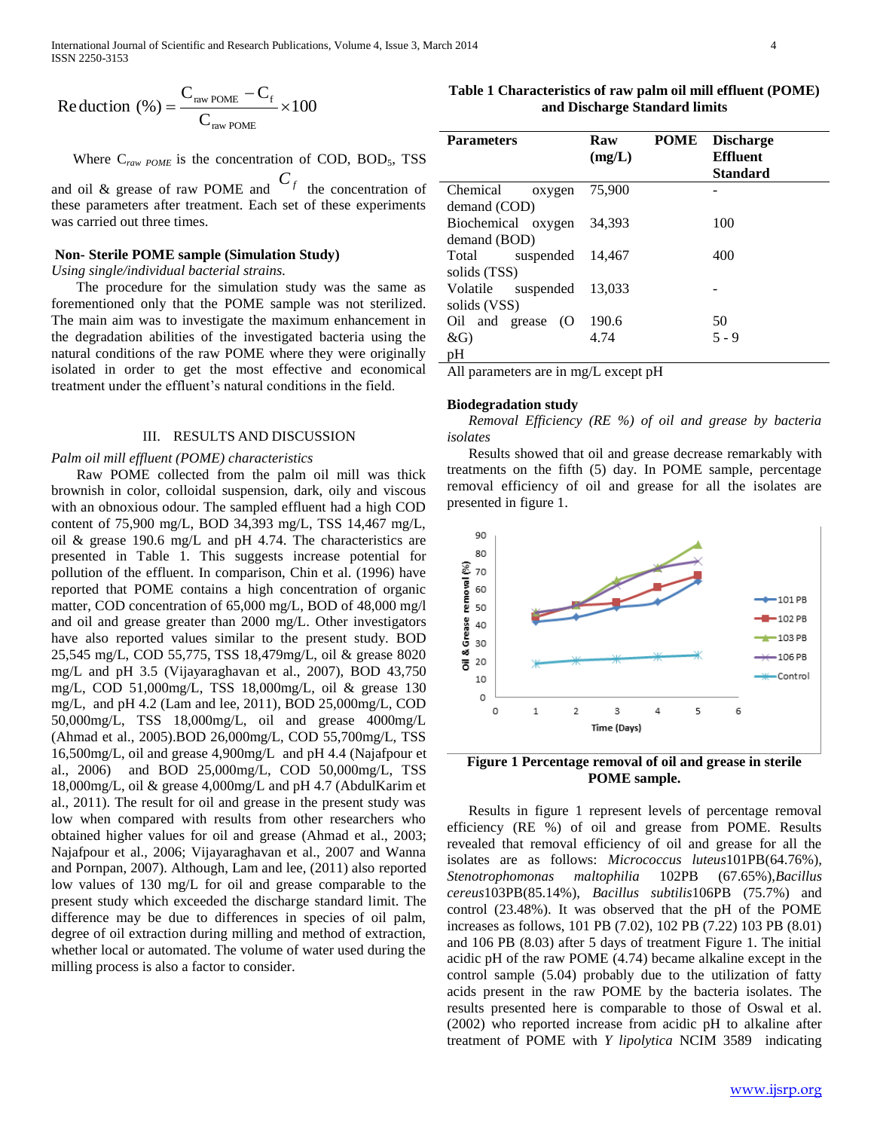$$
Reduction (%) = \frac{C_{raw POME} - C_{f}}{C_{raw POME}} \times 100
$$

Where  $C_{raw\ POME}$  is the concentration of COD, BOD<sub>5</sub>, TSS

and oil & grease of raw POME and  $C_f$  the concentration of these parameters after treatment. Each set of these experiments was carried out three times.

## **Non- Sterile POME sample (Simulation Study)**

*Using single/individual bacterial strains.*

 The procedure for the simulation study was the same as forementioned only that the POME sample was not sterilized. The main aim was to investigate the maximum enhancement in the degradation abilities of the investigated bacteria using the natural conditions of the raw POME where they were originally isolated in order to get the most effective and economical treatment under the effluent's natural conditions in the field.

### III. RESULTS AND DISCUSSION

#### *Palm oil mill effluent (POME) characteristics*

 Raw POME collected from the palm oil mill was thick brownish in color, colloidal suspension, dark, oily and viscous with an obnoxious odour. The sampled effluent had a high COD content of 75,900 mg/L, BOD 34,393 mg/L, TSS 14,467 mg/L, oil & grease 190.6 mg/L and pH 4.74. The characteristics are presented in Table 1. This suggests increase potential for pollution of the effluent. In comparison, Chin et al. (1996) have reported that POME contains a high concentration of organic matter, COD concentration of 65,000 mg/L, BOD of 48,000 mg/l and oil and grease greater than 2000 mg/L. Other investigators have also reported values similar to the present study. BOD 25,545 mg/L, COD 55,775, TSS 18,479mg/L, oil & grease 8020 mg/L and pH 3.5 (Vijayaraghavan et al., 2007), BOD 43,750 mg/L, COD 51,000mg/L, TSS 18,000mg/L, oil & grease 130 mg/L, and pH 4.2 (Lam and lee, 2011), BOD 25,000mg/L, COD 50,000mg/L, TSS 18,000mg/L, oil and grease 4000mg/L (Ahmad et al., 2005).BOD 26,000mg/L, COD 55,700mg/L, TSS 16,500mg/L, oil and grease 4,900mg/L and pH 4.4 (Najafpour et al., 2006) and BOD 25,000mg/L, COD 50,000mg/L, TSS 18,000mg/L, oil & grease 4,000mg/L and pH 4.7 (AbdulKarim et al., 2011). The result for oil and grease in the present study was low when compared with results from other researchers who obtained higher values for oil and grease (Ahmad et al., 2003; Najafpour et al., 2006; Vijayaraghavan et al., 2007 and Wanna and Pornpan, 2007). Although, Lam and lee, (2011) also reported low values of 130 mg/L for oil and grease comparable to the present study which exceeded the discharge standard limit. The difference may be due to differences in species of oil palm, degree of oil extraction during milling and method of extraction, whether local or automated. The volume of water used during the milling process is also a factor to consider.

**Table 1 Characteristics of raw palm oil mill effluent (POME) and Discharge Standard limits**

| <b>Parameters</b>     | Raw<br>(mg/L) | <b>POME</b> | <b>Discharge</b><br><b>Effluent</b><br><b>Standard</b> |
|-----------------------|---------------|-------------|--------------------------------------------------------|
| Chemical<br>oxygen    | 75,900        |             |                                                        |
| demand (COD)          |               |             |                                                        |
| Biochemical oxygen    | 34.393        |             | 100                                                    |
| demand (BOD)          |               |             |                                                        |
| suspended<br>Total    | 14.467        |             | 400                                                    |
| solids (TSS)          |               |             |                                                        |
| Volatile<br>suspended | 13.033        |             |                                                        |
| solids (VSS)          |               |             |                                                        |
| Oil and grease (O     | 190.6         |             | 50                                                     |
| $\&G$                 | 4.74          |             | $5 - 9$                                                |
| pH                    |               |             |                                                        |

All parameters are in mg/L except pH

#### **Biodegradation study**

 *Removal Efficiency (RE %) of oil and grease by bacteria isolates* 

 Results showed that oil and grease decrease remarkably with treatments on the fifth (5) day. In POME sample, percentage removal efficiency of oil and grease for all the isolates are presented in figure 1.



**Figure 1 Percentage removal of oil and grease in sterile POME sample.**

 Results in figure 1 represent levels of percentage removal efficiency (RE %) of oil and grease from POME. Results revealed that removal efficiency of oil and grease for all the isolates are as follows: *Micrococcus luteus*101PB(64.76%), *[Stenotrophomonas maltophilia](http://blast.ncbi.nlm.nih.gov/Blast.cgi#alnHdr_383806475)* 102PB (67.65%),*[Bacillus](http://blast.ncbi.nlm.nih.gov/Blast.cgi#alnHdr_326579762)  [cereus](http://blast.ncbi.nlm.nih.gov/Blast.cgi#alnHdr_326579762)*103PB(85.14%), *[Bacillus subtilis](http://blast.ncbi.nlm.nih.gov/Blast.cgi#alnHdr_558763527)*106PB (75.7%) and control (23.48%). It was observed that the pH of the POME increases as follows, 101 PB (7.02), 102 PB (7.22) 103 PB (8.01) and 106 PB (8.03) after 5 days of treatment Figure 1. The initial acidic pH of the raw POME (4.74) became alkaline except in the control sample (5.04) probably due to the utilization of fatty acids present in the raw POME by the bacteria isolates. The results presented here is comparable to those of Oswal et al. (2002) who reported increase from acidic pH to alkaline after treatment of POME with *Y lipolytica* NCIM 3589 indicating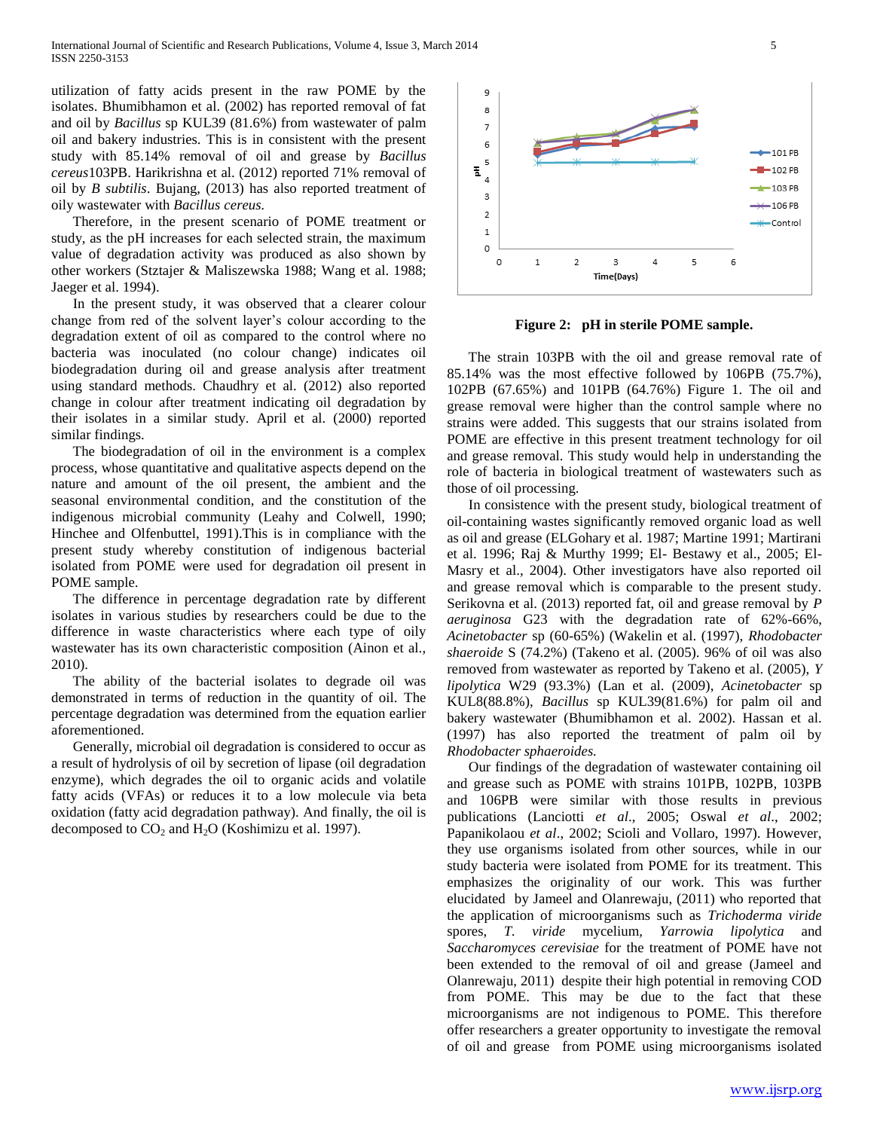utilization of fatty acids present in the raw POME by the isolates. Bhumibhamon et al. (2002) has reported removal of fat and oil by *Bacillus* sp KUL39 (81.6%) from wastewater of palm oil and bakery industries. This is in consistent with the present study with 85.14% removal of oil and grease by *[Bacillus](http://blast.ncbi.nlm.nih.gov/Blast.cgi#alnHdr_326579762)  [cereus](http://blast.ncbi.nlm.nih.gov/Blast.cgi#alnHdr_326579762)*103PB. Harikrishna et al. (2012) reported 71% removal of oil by *B subtilis*. Bujang, (2013) has also reported treatment of oily wastewater with *[Bacillus cereus.](http://blast.ncbi.nlm.nih.gov/Blast.cgi#alnHdr_326579762)*

 Therefore, in the present scenario of POME treatment or study, as the pH increases for each selected strain, the maximum value of degradation activity was produced as also shown by other workers (Stztajer & Maliszewska 1988; Wang et al. 1988; Jaeger et al. 1994).

 In the present study, it was observed that a clearer colour change from red of the solvent layer's colour according to the degradation extent of oil as compared to the control where no bacteria was inoculated (no colour change) indicates oil biodegradation during oil and grease analysis after treatment using standard methods. Chaudhry et al. (2012) also reported change in colour after treatment indicating oil degradation by their isolates in a similar study. April et al. (2000) reported similar findings.

 The biodegradation of oil in the environment is a complex process, whose quantitative and qualitative aspects depend on the nature and amount of the oil present, the ambient and the seasonal environmental condition, and the constitution of the indigenous microbial community (Leahy and Colwell, 1990; Hinchee and Olfenbuttel, 1991).This is in compliance with the present study whereby constitution of indigenous bacterial isolated from POME were used for degradation oil present in POME sample.

 The difference in percentage degradation rate by different isolates in various studies by researchers could be due to the difference in waste characteristics where each type of oily wastewater has its own characteristic composition (Ainon et al., 2010).

 The ability of the bacterial isolates to degrade oil was demonstrated in terms of reduction in the quantity of oil. The percentage degradation was determined from the equation earlier aforementioned.

 Generally, microbial oil degradation is considered to occur as a result of hydrolysis of oil by secretion of lipase (oil degradation enzyme), which degrades the oil to organic acids and volatile fatty acids (VFAs) or reduces it to a low molecule via beta oxidation (fatty acid degradation pathway). And finally, the oil is decomposed to  $CO<sub>2</sub>$  and  $H<sub>2</sub>O$  (Koshimizu et al. 1997).



5

6

 $\overline{\phantom{a}}$ 

3

Time(Days)

 $\overline{q}$ 8

 $\overline{7}$ 6

5 죞

 $\overline{A}$ 

3

 $\overline{2}$ 

 $\mathbf{1}$  $\mathbf{0}$  $\circ$ 

 $\mathbf{1}$ 

 $\overline{2}$ 

**Figure 2: pH in sterile POME sample.**

 The strain 103PB with the oil and grease removal rate of 85.14% was the most effective followed by 106PB (75.7%), 102PB (67.65%) and 101PB (64.76%) Figure 1. The oil and grease removal were higher than the control sample where no strains were added. This suggests that our strains isolated from POME are effective in this present treatment technology for oil and grease removal. This study would help in understanding the role of bacteria in biological treatment of wastewaters such as those of oil processing.

 In consistence with the present study, biological treatment of oil-containing wastes significantly removed organic load as well as oil and grease (ELGohary et al. 1987; Martine 1991; Martirani et al. 1996; Raj & Murthy 1999; El- Bestawy et al., 2005; El-Masry et al., 2004). Other investigators have also reported oil and grease removal which is comparable to the present study. Serikovna et al. (2013) reported fat, oil and grease removal by *P aeruginosa* G23 with the degradation rate of 62%-66%, *Acinetobacter* sp (60-65%) (Wakelin et al. (1997), *Rhodobacter shaeroide* S (74.2%) (Takeno et al. (2005). 96% of oil was also removed from wastewater as reported by Takeno et al. (2005), *Y lipolytica* W29 (93.3%) (Lan et al. (2009), *Acinetobacter* sp KUL8(88.8%), *Bacillus* sp KUL39(81.6%) for palm oil and bakery wastewater (Bhumibhamon et al. 2002). Hassan et al. (1997) has also reported the treatment of palm oil by *Rhodobacter sphaeroides.*

 Our findings of the degradation of wastewater containing oil and grease such as POME with strains 101PB, 102PB, 103PB and 106PB were similar with those results in previous publications (Lanciotti *et al*., 2005; Oswal *et al*., 2002; Papanikolaou *et al*., 2002; Scioli and Vollaro, 1997). However, they use organisms isolated from other sources, while in our study bacteria were isolated from POME for its treatment. This emphasizes the originality of our work. This was further elucidated by Jameel and Olanrewaju, (2011) who reported that the application of microorganisms such as *Trichoderma viride* spores, *T. viride* mycelium*, Yarrowia lipolytica* and *Saccharomyces cerevisiae* for the treatment of POME have not been extended to the removal of oil and grease (Jameel and Olanrewaju, 2011) despite their high potential in removing COD from POME. This may be due to the fact that these microorganisms are not indigenous to POME. This therefore offer researchers a greater opportunity to investigate the removal of oil and grease from POME using microorganisms isolated

 $+$ 101 PB

 $-4 - 102$  PB

 $+103$  PB

 $\leftarrow$  106 PB

-Control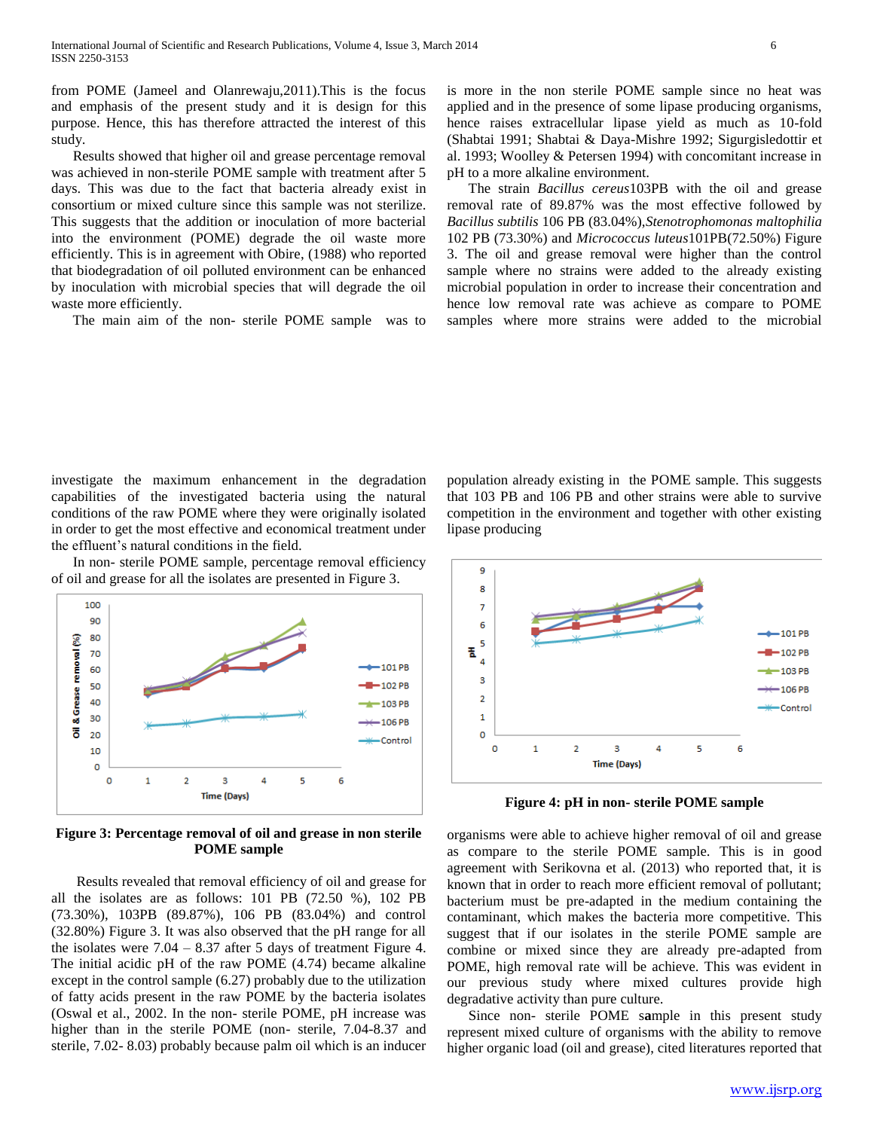from POME (Jameel and Olanrewaju,2011).This is the focus and emphasis of the present study and it is design for this purpose. Hence, this has therefore attracted the interest of this study.

 Results showed that higher oil and grease percentage removal was achieved in non-sterile POME sample with treatment after 5 days. This was due to the fact that bacteria already exist in consortium or mixed culture since this sample was not sterilize. This suggests that the addition or inoculation of more bacterial into the environment (POME) degrade the oil waste more efficiently. This is in agreement with Obire, (1988) who reported that biodegradation of oil polluted environment can be enhanced by inoculation with microbial species that will degrade the oil waste more efficiently.

The main aim of the non- sterile POME sample was to

is more in the non sterile POME sample since no heat was applied and in the presence of some lipase producing organisms, hence raises extracellular lipase yield as much as 10-fold (Shabtai 1991; Shabtai & Daya-Mishre 1992; Sigurgisledottir et al. 1993; Woolley & Petersen 1994) with concomitant increase in pH to a more alkaline environment.

 The strain *[Bacillus cereus](http://blast.ncbi.nlm.nih.gov/Blast.cgi#alnHdr_326579762)*103PB with the oil and grease removal rate of 89.87% was the most effective followed by *[Bacillus subtilis](http://blast.ncbi.nlm.nih.gov/Blast.cgi#alnHdr_558763527)* 106 PB (83.04%),*[Stenotrophomonas maltophilia](http://blast.ncbi.nlm.nih.gov/Blast.cgi#alnHdr_383806475)* 102 PB (73.30%) and *Micrococcus luteus*101PB(72.50%) Figure 3. The oil and grease removal were higher than the control sample where no strains were added to the already existing microbial population in order to increase their concentration and hence low removal rate was achieve as compare to POME samples where more strains were added to the microbial

investigate the maximum enhancement in the degradation capabilities of the investigated bacteria using the natural conditions of the raw POME where they were originally isolated in order to get the most effective and economical treatment under the effluent's natural conditions in the field.

 In non- sterile POME sample, percentage removal efficiency of oil and grease for all the isolates are presented in Figure 3.



**Figure 3: Percentage removal of oil and grease in non sterile POME sample**

 Results revealed that removal efficiency of oil and grease for all the isolates are as follows: 101 PB (72.50 %), 102 PB (73.30%), 103PB (89.87%), 106 PB (83.04%) and control (32.80%) Figure 3. It was also observed that the pH range for all the isolates were  $7.04 - 8.37$  after 5 days of treatment Figure 4. The initial acidic pH of the raw POME (4.74) became alkaline except in the control sample (6.27) probably due to the utilization of fatty acids present in the raw POME by the bacteria isolates (Oswal et al., 2002. In the non- sterile POME, pH increase was higher than in the sterile POME (non- sterile, 7.04-8.37 and sterile, 7.02- 8.03) probably because palm oil which is an inducer

population already existing in the POME sample. This suggests that 103 PB and 106 PB and other strains were able to survive competition in the environment and together with other existing lipase producing



**Figure 4: pH in non- sterile POME sample**

organisms were able to achieve higher removal of oil and grease as compare to the sterile POME sample. This is in good agreement with Serikovna et al. (2013) who reported that, it is known that in order to reach more efficient removal of pollutant; bacterium must be pre-adapted in the medium containing the contaminant, which makes the bacteria more competitive. This suggest that if our isolates in the sterile POME sample are combine or mixed since they are already pre-adapted from POME, high removal rate will be achieve. This was evident in our previous study where mixed cultures provide high degradative activity than pure culture.

 Since non- sterile POME s**a**mple in this present study represent mixed culture of organisms with the ability to remove higher organic load (oil and grease), cited literatures reported that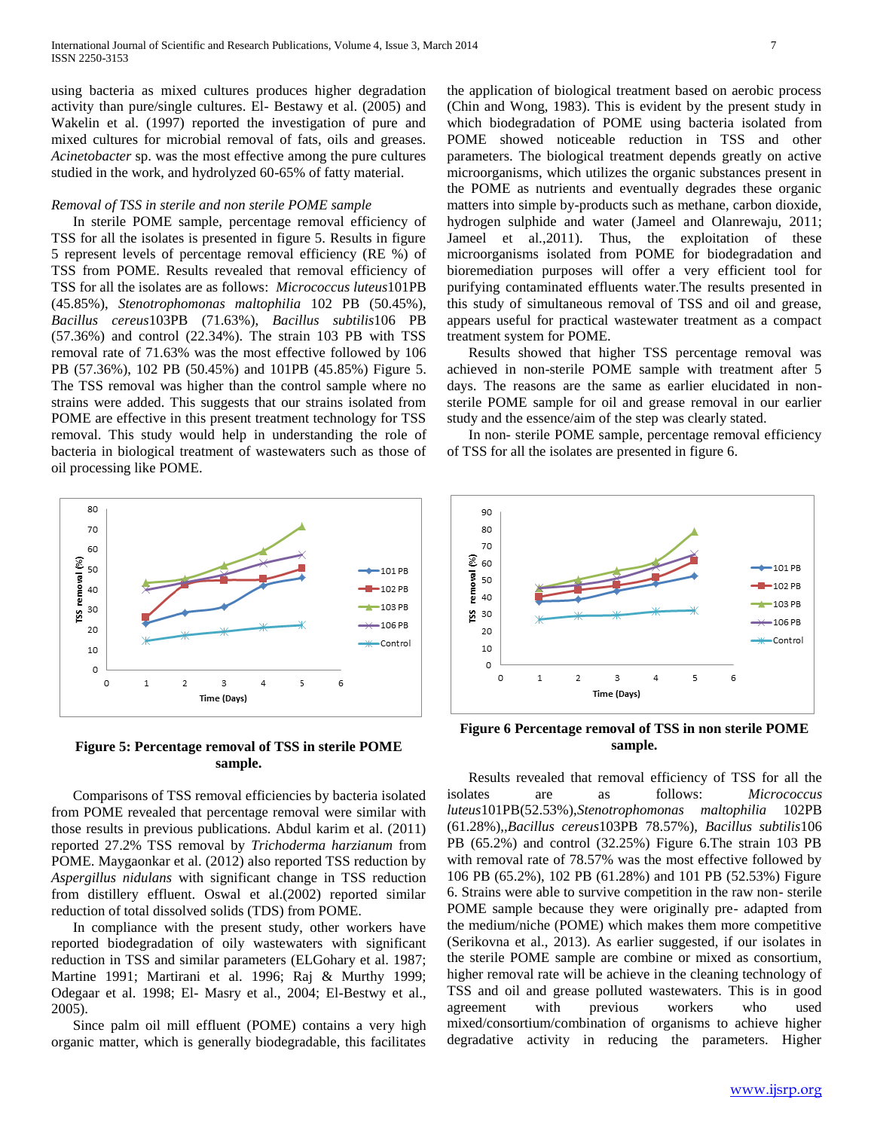using bacteria as mixed cultures produces higher degradation activity than pure/single cultures. El- Bestawy et al. (2005) and Wakelin et al. (1997) reported the investigation of pure and mixed cultures for microbial removal of fats, oils and greases. *Acinetobacter* sp. was the most effective among the pure cultures studied in the work, and hydrolyzed 60-65% of fatty material.

### *Removal of TSS in sterile and non sterile POME sample*

 In sterile POME sample, percentage removal efficiency of TSS for all the isolates is presented in figure 5. Results in figure 5 represent levels of percentage removal efficiency (RE %) of TSS from POME. Results revealed that removal efficiency of TSS for all the isolates are as follows: *Micrococcus luteus*101PB (45.85%), *[Stenotrophomonas maltophilia](http://blast.ncbi.nlm.nih.gov/Blast.cgi#alnHdr_383806475)* 102 PB (50.45%), *[Bacillus cereus](http://blast.ncbi.nlm.nih.gov/Blast.cgi#alnHdr_326579762)*103PB (71.63%), *[Bacillus subtilis](http://blast.ncbi.nlm.nih.gov/Blast.cgi#alnHdr_558763527)*106 PB (57.36%) and control (22.34%). The strain 103 PB with TSS removal rate of 71.63% was the most effective followed by 106 PB (57.36%), 102 PB (50.45%) and 101PB (45.85%) Figure 5. The TSS removal was higher than the control sample where no strains were added. This suggests that our strains isolated from POME are effective in this present treatment technology for TSS removal. This study would help in understanding the role of bacteria in biological treatment of wastewaters such as those of oil processing like POME.



**Figure 5: Percentage removal of TSS in sterile POME sample.**

 Comparisons of TSS removal efficiencies by bacteria isolated from POME revealed that percentage removal were similar with those results in previous publications. Abdul karim et al. (2011) reported 27.2% TSS removal by *Trichoderma harzianum* from POME. Maygaonkar et al. (2012) also reported TSS reduction by *Aspergillus nidulans* with significant change in TSS reduction from distillery effluent. Oswal et al.(2002) reported similar reduction of total dissolved solids (TDS) from POME.

 In compliance with the present study, other workers have reported biodegradation of oily wastewaters with significant reduction in TSS and similar parameters (ELGohary et al. 1987; Martine 1991; Martirani et al. 1996; Raj & Murthy 1999; Odegaar et al. 1998; El- Masry et al., 2004; El-Bestwy et al., 2005).

 Since palm oil mill effluent (POME) contains a very high organic matter, which is generally biodegradable, this facilitates

the application of biological treatment based on aerobic process (Chin and Wong, 1983). This is evident by the present study in which biodegradation of POME using bacteria isolated from POME showed noticeable reduction in TSS and other parameters. The biological treatment depends greatly on active microorganisms, which utilizes the organic substances present in the POME as nutrients and eventually degrades these organic matters into simple by-products such as methane, carbon dioxide, hydrogen sulphide and water (Jameel and Olanrewaju, 2011; Jameel et al.,2011). Thus, the exploitation of these microorganisms isolated from POME for biodegradation and bioremediation purposes will offer a very efficient tool for purifying contaminated effluents water.The results presented in this study of simultaneous removal of TSS and oil and grease, appears useful for practical wastewater treatment as a compact treatment system for POME.

 Results showed that higher TSS percentage removal was achieved in non-sterile POME sample with treatment after 5 days. The reasons are the same as earlier elucidated in nonsterile POME sample for oil and grease removal in our earlier study and the essence/aim of the step was clearly stated.

 In non- sterile POME sample, percentage removal efficiency of TSS for all the isolates are presented in figure 6.



**Figure 6 Percentage removal of TSS in non sterile POME sample.**

 Results revealed that removal efficiency of TSS for all the isolates are as follows: *Micrococcus luteus*101PB(52.53%),*[Stenotrophomonas maltophilia](http://blast.ncbi.nlm.nih.gov/Blast.cgi#alnHdr_383806475)* 102PB (61.28%),,*[Bacillus cereus](http://blast.ncbi.nlm.nih.gov/Blast.cgi#alnHdr_326579762)*103PB 78.57%), *[Bacillus subtilis](http://blast.ncbi.nlm.nih.gov/Blast.cgi#alnHdr_558763527)*106 PB (65.2%) and control (32.25%) Figure 6.The strain 103 PB with removal rate of 78.57% was the most effective followed by 106 PB (65.2%), 102 PB (61.28%) and 101 PB (52.53%) Figure 6. Strains were able to survive competition in the raw non- sterile POME sample because they were originally pre- adapted from the medium/niche (POME) which makes them more competitive (Serikovna et al., 2013). As earlier suggested, if our isolates in the sterile POME sample are combine or mixed as consortium, higher removal rate will be achieve in the cleaning technology of TSS and oil and grease polluted wastewaters. This is in good agreement with previous workers who used mixed/consortium/combination of organisms to achieve higher degradative activity in reducing the parameters. Higher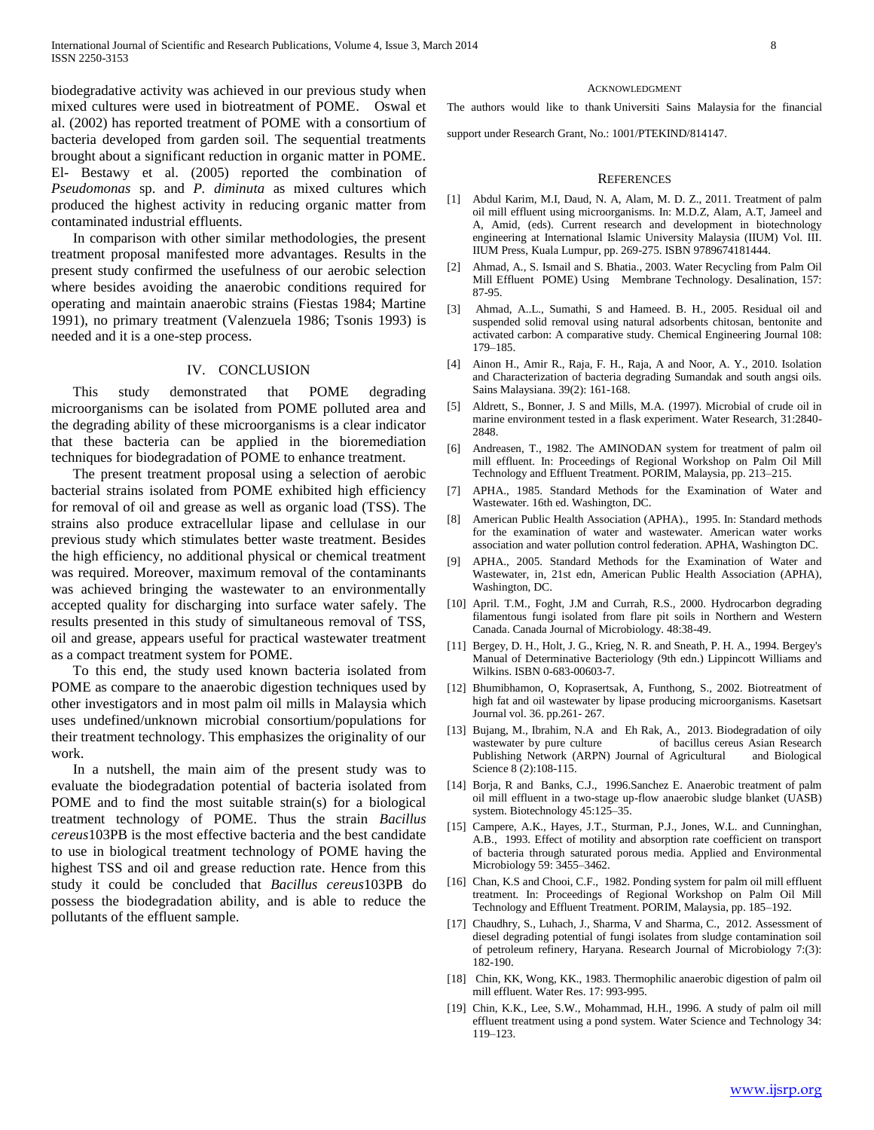biodegradative activity was achieved in our previous study when mixed cultures were used in biotreatment of POME. Oswal et al. (2002) has reported treatment of POME with a consortium of bacteria developed from garden soil. The sequential treatments brought about a significant reduction in organic matter in POME. El- Bestawy et al. (2005) reported the combination of *Pseudomonas* sp. and *P. diminuta* as mixed cultures which produced the highest activity in reducing organic matter from contaminated industrial effluents.

 In comparison with other similar methodologies, the present treatment proposal manifested more advantages. Results in the present study confirmed the usefulness of our aerobic selection where besides avoiding the anaerobic conditions required for operating and maintain anaerobic strains (Fiestas 1984; Martine 1991), no primary treatment (Valenzuela 1986; Tsonis 1993) is needed and it is a one-step process.

## IV. CONCLUSION

 This study demonstrated that POME degrading microorganisms can be isolated from POME polluted area and the degrading ability of these microorganisms is a clear indicator that these bacteria can be applied in the bioremediation techniques for biodegradation of POME to enhance treatment.

 The present treatment proposal using a selection of aerobic bacterial strains isolated from POME exhibited high efficiency for removal of oil and grease as well as organic load (TSS). The strains also produce extracellular lipase and cellulase in our previous study which stimulates better waste treatment. Besides the high efficiency, no additional physical or chemical treatment was required. Moreover, maximum removal of the contaminants was achieved bringing the wastewater to an environmentally accepted quality for discharging into surface water safely. The results presented in this study of simultaneous removal of TSS, oil and grease, appears useful for practical wastewater treatment as a compact treatment system for POME.

 To this end, the study used known bacteria isolated from POME as compare to the anaerobic digestion techniques used by other investigators and in most palm oil mills in Malaysia which uses undefined/unknown microbial consortium/populations for their treatment technology. This emphasizes the originality of our work.

 In a nutshell, the main aim of the present study was to evaluate the biodegradation potential of bacteria isolated from POME and to find the most suitable strain(s) for a biological treatment technology of POME. Thus the strain *[Bacillus](http://blast.ncbi.nlm.nih.gov/Blast.cgi#alnHdr_326579762)  [cereus](http://blast.ncbi.nlm.nih.gov/Blast.cgi#alnHdr_326579762)*103PB is the most effective bacteria and the best candidate to use in biological treatment technology of POME having the highest TSS and oil and grease reduction rate. Hence from this study it could be concluded that *[Bacillus cereus](http://blast.ncbi.nlm.nih.gov/Blast.cgi#alnHdr_326579762)*103PB do possess the biodegradation ability, and is able to reduce the pollutants of the effluent sample.

#### ACKNOWLEDGMENT

The authors would like to thank Universiti Sains Malaysia for the financial

support under Research Grant, No.: 1001/PTEKIND/814147.

#### **REFERENCES**

- [1] Abdul Karim, M.I, Daud, N. A, Alam, M. D. Z., 2011. Treatment of palm oil mill effluent using microorganisms. In: M.D.Z, Alam, A.T, Jameel and A, Amid, (eds). Current research and development in biotechnology engineering at International Islamic University Malaysia (IIUM) Vol. III. IIUM Press, Kuala Lumpur, pp. 269-275. ISBN 9789674181444.
- [2] Ahmad, A., S. Ismail and S. Bhatia., 2003. Water Recycling from Palm Oil Mill Effluent POME) Using Membrane Technology. Desalination, 157: 87-95.
- [3] Ahmad, A..L., Sumathi, S and Hameed. B. H., 2005. Residual oil and suspended solid removal using natural adsorbents chitosan, bentonite and activated carbon: A comparative study. Chemical Engineering Journal 108: 179–185.
- [4] Ainon H., Amir R., Raja, F. H., Raja, A and Noor, A. Y., 2010. Isolation and Characterization of bacteria degrading Sumandak and south angsi oils. Sains Malaysiana. 39(2): 161-168.
- [5] Aldrett, S., Bonner, J. S and Mills, M.A. (1997). Microbial of crude oil in marine environment tested in a flask experiment. Water Research, 31:2840- 2848.
- [6] Andreasen, T., 1982. The AMINODAN system for treatment of palm oil mill effluent. In: Proceedings of Regional Workshop on Palm Oil Mill Technology and Effluent Treatment. PORIM, Malaysia, pp. 213–215.
- [7] APHA., 1985. Standard Methods for the Examination of Water and Wastewater. 16th ed. Washington, DC.
- [8] American Public Health Association (APHA)., 1995. In: Standard methods for the examination of water and wastewater. American water works association and water pollution control federation. APHA, Washington DC.
- [9] APHA., 2005. Standard Methods for the Examination of Water and Wastewater, in, 21st edn, American Public Health Association (APHA), Washington, DC.
- [10] April. T.M., Foght, J.M and Currah, R.S., 2000. Hydrocarbon degrading filamentous fungi isolated from flare pit soils in Northern and Western Canada. Canada Journal of Microbiology. 48:38-49.
- [11] Bergey, D. H., Holt, J. G., Krieg, N. R. and Sneath, P. H. A., 1994. Bergey's Manual of Determinative Bacteriology (9th edn.) Lippincott Williams and Wilkins. ISBN 0-683-00603-7.
- [12] Bhumibhamon, O, Koprasertsak, A, Funthong, S., 2002. Biotreatment of high fat and oil wastewater by lipase producing microorganisms. Kasetsart Journal vol. 36. pp.261- 267.
- [13] Bujang, M., Ibrahim, N.A and Eh Rak, A., 2013. Biodegradation of oily wastewater by pure culture of bacillus cereus Asian Research Publishing Network (ARPN) Journal of Agricultural and Biological Science 8 (2):108-115.
- [14] Borja, R and Banks, C.J., 1996.Sanchez E. Anaerobic treatment of palm oil mill effluent in a two-stage up-flow anaerobic sludge blanket (UASB) system. Biotechnology 45:125–35.
- [15] Campere, A.K., Hayes, J.T., Sturman, P.J., Jones, W.L. and Cunninghan, A.B., 1993. Effect of motility and absorption rate coefficient on transport of bacteria through saturated porous media. Applied and Environmental Microbiology 59: 3455–3462.
- [16] Chan, K.S and Chooi, C.F., 1982. Ponding system for palm oil mill effluent treatment. In: Proceedings of Regional Workshop on Palm Oil Mill Technology and Effluent Treatment. PORIM, Malaysia, pp. 185–192.
- [17] Chaudhry, S., Luhach, J., Sharma, V and Sharma, C., 2012. Assessment of diesel degrading potential of fungi isolates from sludge contamination soil of petroleum refinery, Haryana. Research Journal of Microbiology 7:(3): 182-190.
- [18] Chin, KK, Wong, KK., 1983. Thermophilic anaerobic digestion of palm oil mill effluent. Water Res. 17: 993-995.
- [19] Chin, K.K., Lee, S.W., Mohammad, H.H., 1996. A study of palm oil mill effluent treatment using a pond system. Water Science and Technology 34: 119–123.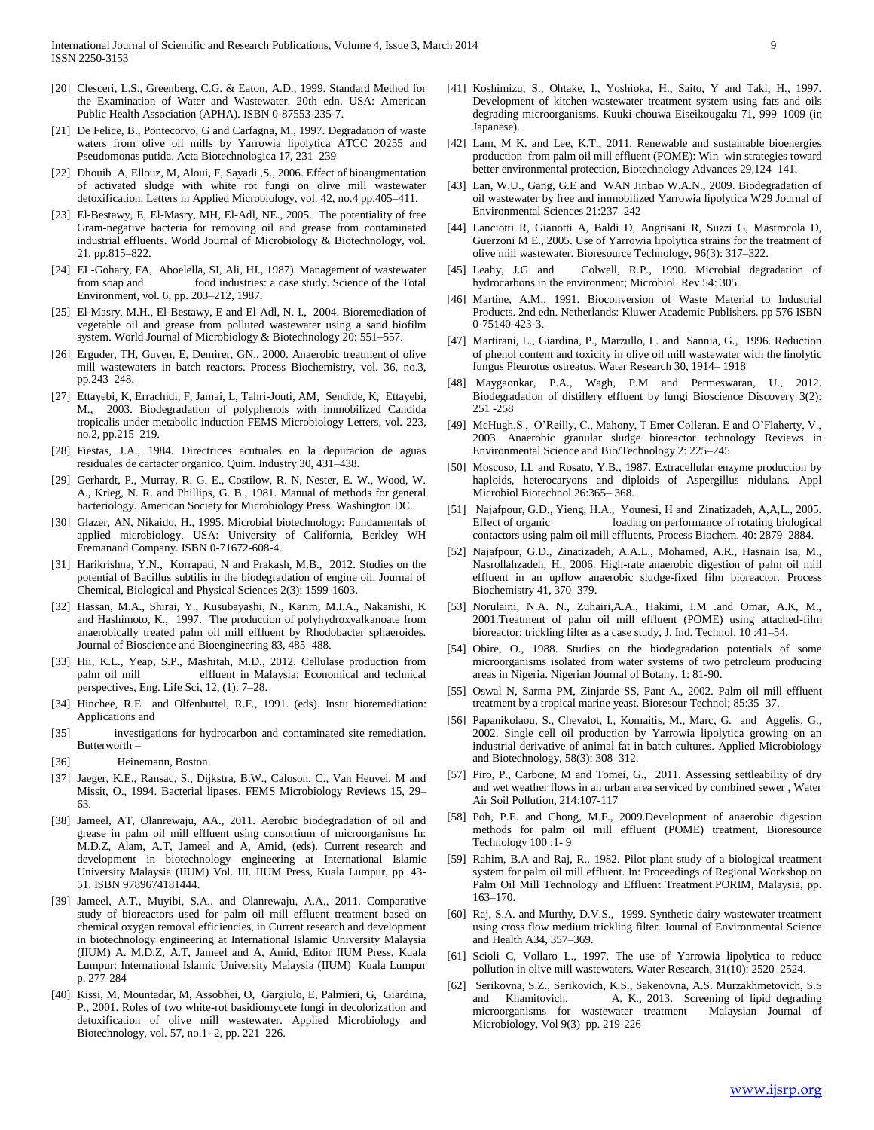- [20] Clesceri, L.S., Greenberg, C.G. & Eaton, A.D., 1999. Standard Method for the Examination of Water and Wastewater. 20th edn. USA: American Public Health Association (APHA). ISBN 0-87553-235-7.
- [21] De Felice, B., Pontecorvo, G and Carfagna, M., 1997. Degradation of waste waters from olive oil mills by Yarrowia lipolytica ATCC 20255 and Pseudomonas putida. Acta Biotechnologica 17, 231–239
- [22] Dhouib A, Ellouz, M, Aloui, F, Sayadi ,S., 2006. Effect of bioaugmentation of activated sludge with white rot fungi on olive mill wastewater detoxification. Letters in Applied Microbiology, vol. 42, no.4 pp.405–411.
- [23] El-Bestawy, E, El-Masry, MH, El-Adl, NE., 2005. The potentiality of free Gram-negative bacteria for removing oil and grease from contaminated industrial effluents. World Journal of Microbiology & Biotechnology, vol. 21, pp.815–822.
- [24] EL-Gohary, FA, Aboelella, SI, Ali, HI., 1987). Management of wastewater from soap and food industries: a case study. Science of the Total Environment, vol. 6, pp. 203–212, 1987.
- [25] El-Masry, M.H., El-Bestawy, E and El-Adl, N. I., 2004. Bioremediation of vegetable oil and grease from polluted wastewater using a sand biofilm system. World Journal of Microbiology & Biotechnology 20: 551–557.
- [26] Erguder, TH, Guven, E, Demirer, GN., 2000. Anaerobic treatment of olive mill wastewaters in batch reactors. Process Biochemistry, vol. 36, no.3, pp.243–248.
- [27] Ettayebi, K, Errachidi, F, Jamai, L, Tahri-Jouti, AM, Sendide, K, Ettayebi, M., 2003. Biodegradation of polyphenols with immobilized Candida tropicalis under metabolic induction FEMS Microbiology Letters, vol. 223, no.2, pp.215–219.
- [28] Fiestas, J.A., 1984. Directrices acutuales en la depuracion de aguas residuales de cartacter organico. Quim. Industry 30, 431–438.
- [29] Gerhardt, P., Murray, R. G. E., Costilow, R. N, Nester, E. W., Wood, W. A., Krieg, N. R. and Phillips, G. B., 1981. Manual of methods for general bacteriology. American Society for Microbiology Press. Washington DC.
- [30] Glazer, AN, Nikaido, H., 1995. Microbial biotechnology: Fundamentals of applied microbiology. USA: University of California, Berkley WH Fremanand Company. ISBN 0-71672-608-4.
- [31] Harikrishna, Y.N., Korrapati, N and Prakash, M.B., 2012. Studies on the potential of Bacillus subtilis in the biodegradation of engine oil. Journal of Chemical, Biological and Physical Sciences 2(3): 1599-1603.
- [32] Hassan, M.A., Shirai, Y., Kusubayashi, N., Karim, M.I.A., Nakanishi, K and Hashimoto, K., 1997. The production of polyhydroxyalkanoate from anaerobically treated palm oil mill effluent by Rhodobacter sphaeroides. Journal of Bioscience and Bioengineering 83, 485–488.
- [33] Hii, K.L., Yeap, S.P., Mashitah, M.D., 2012. Cellulase production from palm oil mill effluent in Malaysia: Economical and technical perspectives, Eng. Life Sci, 12, (1): 7–28.
- [34] Hinchee, R.E and Olfenbuttel, R.F., 1991. (eds). Instu bioremediation: Applications and
- [35] investigations for hydrocarbon and contaminated site remediation. Butterworth –
- [36] Heinemann, Boston.
- [37] Jaeger, K.E., Ransac, S., Dijkstra, B.W., Caloson, C., Van Heuvel, M and Missit, O., 1994. Bacterial lipases. FEMS Microbiology Reviews 15, 29– 63.
- [38] Jameel, AT, Olanrewaju, AA., 2011. Aerobic biodegradation of oil and grease in palm oil mill effluent using consortium of microorganisms In: M.D.Z, Alam, A.T, Jameel and A, Amid, (eds). Current research and development in biotechnology engineering at International Islamic University Malaysia (IIUM) Vol. III. IIUM Press, Kuala Lumpur, pp. 43- 51. ISBN 9789674181444.
- [39] Jameel, A.T., Muyibi, S.A., and Olanrewaju, A.A., 2011. Comparative study of bioreactors used for palm oil mill effluent treatment based on chemical oxygen removal efficiencies, in Current research and development in biotechnology engineering at International Islamic University Malaysia (IIUM) A. M.D.Z, A.T, Jameel and A, Amid, Editor IIUM Press, Kuala Lumpur: International Islamic University Malaysia (IIUM) Kuala Lumpur p. 277-284
- [40] Kissi, M, Mountadar, M, Assobhei, O, Gargiulo, E, Palmieri, G, Giardina, P., 2001. Roles of two white-rot basidiomycete fungi in decolorization and detoxification of olive mill wastewater. Applied Microbiology and Biotechnology, vol. 57, no.1- 2, pp. 221–226.
- [41] Koshimizu, S., Ohtake, I., Yoshioka, H., Saito, Y and Taki, H., 1997. Development of kitchen wastewater treatment system using fats and oils degrading microorganisms. Kuuki-chouwa Eiseikougaku 71, 999–1009 (in Japanese).
- [42] Lam, M K. and Lee, K.T., 2011. Renewable and sustainable bioenergies production from palm oil mill effluent (POME): Win–win strategies toward better environmental protection, Biotechnology Advances 29,124–141.
- [43] Lan, W.U., Gang, G.E and WAN Jinbao W.A.N., 2009. Biodegradation of oil wastewater by free and immobilized Yarrowia lipolytica W29 Journal of Environmental Sciences 21:237–242
- [44] Lanciotti R, Gianotti A, Baldi D, Angrisani R, Suzzi G, Mastrocola D, Guerzoni M E., 2005. Use of Yarrowia lipolytica strains for the treatment of olive mill wastewater. Bioresource Technology, 96(3): 317–322.
- [45] Leahy, J.G and Colwell, R.P., 1990. Microbial degradation of hydrocarbons in the environment; Microbiol. Rev.54: 305.
- [46] Martine, A.M., 1991. Bioconversion of Waste Material to Industrial Products. 2nd edn. Netherlands: Kluwer Academic Publishers. pp 576 ISBN 0-75140-423-3.
- [47] Martirani, L., Giardina, P., Marzullo, L. and Sannia, G., 1996. Reduction of phenol content and toxicity in olive oil mill wastewater with the linolytic fungus Pleurotus ostreatus. Water Research 30, 1914– 1918
- [48] Maygaonkar, P.A., Wagh, P.M and Permeswaran, U., 2012. Biodegradation of distillery effluent by fungi Bioscience Discovery 3(2): 251 -258
- [49] McHugh, S., O'Reilly, C., Mahony, T Emer Colleran. E and O'Flaherty, V., 2003. Anaerobic granular sludge bioreactor technology Reviews in Environmental Science and Bio/Technology 2: 225–245
- [50] Moscoso, I.L and Rosato, Y.B., 1987. Extracellular enzyme production by haploids, heterocaryons and diploids of Aspergillus nidulans. Appl Microbiol Biotechnol 26:365– 368.
- [51] Najafpour, G.D., Yieng, H.A., Younesi, H and Zinatizadeh, A,A,L., 2005. Effect of organic loading on performance of rotating biological contactors using palm oil mill effluents, Process Biochem. 40: 2879–2884.
- [52] Najafpour, G.D., Zinatizadeh, A.A.L., Mohamed, A.R., Hasnain Isa, M., Nasrollahzadeh, H., 2006. High-rate anaerobic digestion of palm oil mill effluent in an upflow anaerobic sludge-fixed film bioreactor. Process Biochemistry 41, 370–379.
- [53] Norulaini, N.A. N., Zuhairi,A.A., Hakimi, I.M .and Omar, A.K, M., 2001.Treatment of palm oil mill effluent (POME) using attached-film bioreactor: trickling filter as a case study, J. Ind. Technol. 10 :41–54.
- [54] Obire, O., 1988. Studies on the biodegradation potentials of some microorganisms isolated from water systems of two petroleum producing areas in Nigeria. Nigerian Journal of Botany. 1: 81-90.
- [55] Oswal N, Sarma PM, Zinjarde SS, Pant A., 2002. Palm oil mill effluent treatment by a tropical marine yeast. Bioresour Technol; 85:35–37.
- [56] Papanikolaou, S., Chevalot, I., Komaitis, M., Marc, G. and Aggelis, G., 2002. Single cell oil production by Yarrowia lipolytica growing on an industrial derivative of animal fat in batch cultures. Applied Microbiology and Biotechnology, 58(3): 308–312.
- [57] Piro, P., Carbone, M and Tomei, G., 2011. Assessing settleability of dry and wet weather flows in an urban area serviced by combined sewer , Water Air Soil Pollution, 214:107-117
- [58] Poh, P.E. and Chong, M.F., 2009.Development of anaerobic digestion methods for palm oil mill effluent (POME) treatment, Bioresource Technology 100 :1- 9
- [59] Rahim, B.A and Raj, R., 1982. Pilot plant study of a biological treatment system for palm oil mill effluent. In: Proceedings of Regional Workshop on Palm Oil Mill Technology and Effluent Treatment.PORIM, Malaysia, pp. 163–170.
- [60] Raj, S.A. and Murthy, D.V.S., 1999. Synthetic dairy wastewater treatment using cross flow medium trickling filter. Journal of Environmental Science and Health A34, 357–369.
- [61] Scioli C, Vollaro L., 1997. The use of Yarrowia lipolytica to reduce pollution in olive mill wastewaters. Water Research, 31(10): 2520–2524.
- [62] Serikovna, S.Z., Serikovich, K.S., Sakenovna, A.S. Murzakhmetovich, S.S and Khamitovich, A. K., 2013. Screening of lipid degrading microorganisms for wastewater treatment Malaysian Journal of Microbiology, Vol 9(3) pp. 219-226